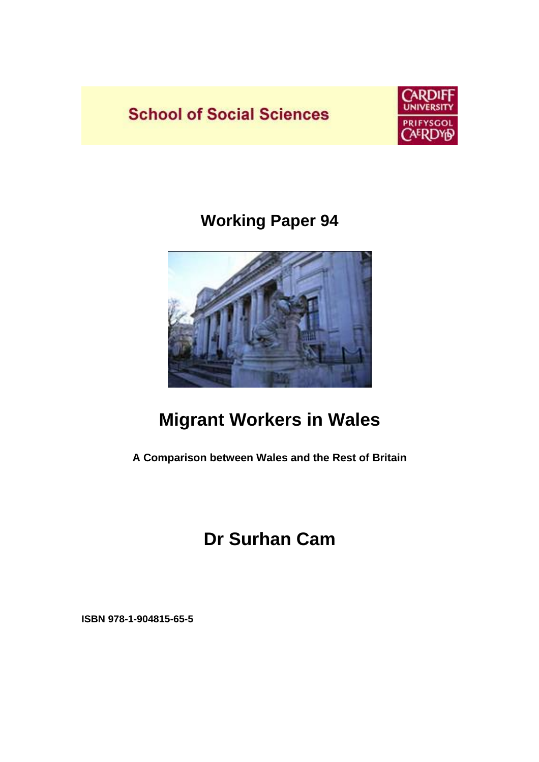



# **Working Paper 94**



# **Migrant Workers in Wales**

**A Comparison between Wales and the Rest of Britain** 

# **Dr Surhan Cam**

**ISBN 978-1-904815-65-5**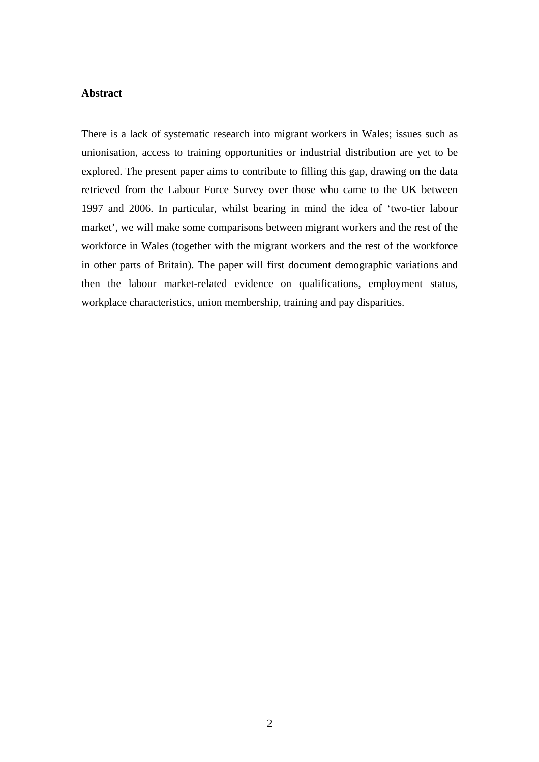#### **Abstract**

There is a lack of systematic research into migrant workers in Wales; issues such as unionisation, access to training opportunities or industrial distribution are yet to be explored. The present paper aims to contribute to filling this gap, drawing on the data retrieved from the Labour Force Survey over those who came to the UK between 1997 and 2006. In particular, whilst bearing in mind the idea of 'two-tier labour market', we will make some comparisons between migrant workers and the rest of the workforce in Wales (together with the migrant workers and the rest of the workforce in other parts of Britain). The paper will first document demographic variations and then the labour market-related evidence on qualifications, employment status, workplace characteristics, union membership, training and pay disparities.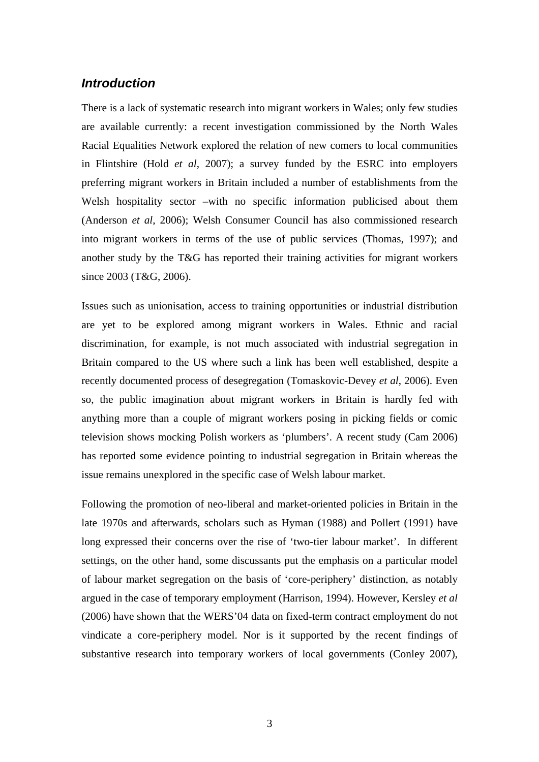### *Introduction*

There is a lack of systematic research into migrant workers in Wales; only few studies are available currently: a recent investigation commissioned by the North Wales Racial Equalities Network explored the relation of new comers to local communities in Flintshire (Hold *et al*, 2007); a survey funded by the ESRC into employers preferring migrant workers in Britain included a number of establishments from the Welsh hospitality sector –with no specific information publicised about them (Anderson *et al*, 2006); Welsh Consumer Council has also commissioned research into migrant workers in terms of the use of public services (Thomas, 1997); and another study by the T&G has reported their training activities for migrant workers since 2003 (T&G, 2006).

Issues such as unionisation, access to training opportunities or industrial distribution are yet to be explored among migrant workers in Wales. Ethnic and racial discrimination, for example, is not much associated with industrial segregation in Britain compared to the US where such a link has been well established, despite a recently documented process of desegregation (Tomaskovic-Devey *et al*, 2006). Even so, the public imagination about migrant workers in Britain is hardly fed with anything more than a couple of migrant workers posing in picking fields or comic television shows mocking Polish workers as 'plumbers'. A recent study (Cam 2006) has reported some evidence pointing to industrial segregation in Britain whereas the issue remains unexplored in the specific case of Welsh labour market.

Following the promotion of neo-liberal and market-oriented policies in Britain in the late 1970s and afterwards, scholars such as Hyman (1988) and Pollert (1991) have long expressed their concerns over the rise of 'two-tier labour market'. In different settings, on the other hand, some discussants put the emphasis on a particular model of labour market segregation on the basis of 'core-periphery' distinction, as notably argued in the case of temporary employment (Harrison, 1994). However, Kersley *et al* (2006) have shown that the WERS'04 data on fixed-term contract employment do not vindicate a core-periphery model. Nor is it supported by the recent findings of substantive research into temporary workers of local governments (Conley 2007),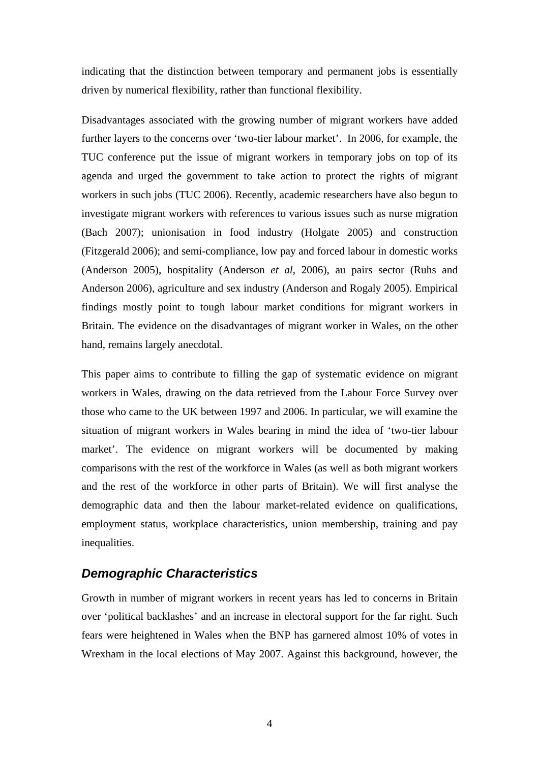indicating that the distinction between temporary and permanent jobs is essentially driven by numerical flexibility, rather than functional flexibility.

Disadvantages associated with the growing number of migrant workers have added further layers to the concerns over 'two-tier labour market'. In 2006, for example, the TUC conference put the issue of migrant workers in temporary jobs on top of its agenda and urged the government to take action to protect the rights of migrant workers in such jobs (TUC 2006). Recently, academic researchers have also begun to investigate migrant workers with references to various issues such as nurse migration (Bach 2007); unionisation in food industry (Holgate 2005) and construction (Fitzgerald 2006); and semi-compliance, low pay and forced labour in domestic works (Anderson 2005), hospitality (Anderson *et al*, 2006), au pairs sector (Ruhs and Anderson 2006), agriculture and sex industry (Anderson and Rogaly 2005). Empirical findings mostly point to tough labour market conditions for migrant workers in Britain. The evidence on the disadvantages of migrant worker in Wales, on the other hand, remains largely anecdotal.

This paper aims to contribute to filling the gap of systematic evidence on migrant workers in Wales, drawing on the data retrieved from the Labour Force Survey over those who came to the UK between 1997 and 2006. In particular, we will examine the situation of migrant workers in Wales bearing in mind the idea of 'two-tier labour market'. The evidence on migrant workers will be documented by making comparisons with the rest of the workforce in Wales (as well as both migrant workers and the rest of the workforce in other parts of Britain). We will first analyse the demographic data and then the labour market-related evidence on qualifications, employment status, workplace characteristics, union membership, training and pay inequalities.

## *Demographic Characteristics*

Growth in number of migrant workers in recent years has led to concerns in Britain over 'political backlashes' and an increase in electoral support for the far right. Such fears were heightened in Wales when the BNP has garnered almost 10% of votes in Wrexham in the local elections of May 2007. Against this background, however, the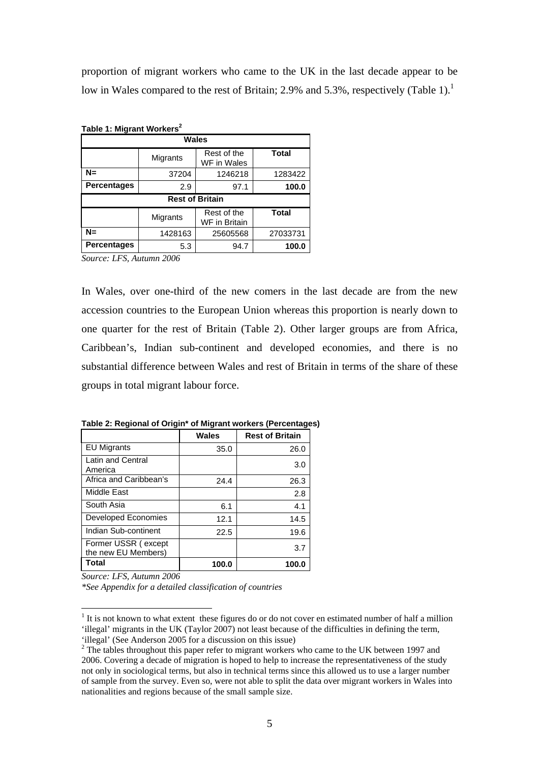proportion of migrant workers who came to the UK in the last decade appear to be low in Wales compared to the rest of Britain; 2.9% and 5.3%, respectively (Table 1).<sup>1</sup>

| <u>.</u><br>Wales         |                                                   |                        |          |  |  |  |  |
|---------------------------|---------------------------------------------------|------------------------|----------|--|--|--|--|
|                           | Total                                             |                        |          |  |  |  |  |
| $N =$                     | 37204                                             | 1246218                | 1283422  |  |  |  |  |
| <b>Percentages</b><br>2.9 |                                                   | 97.1                   | 100.0    |  |  |  |  |
|                           |                                                   | <b>Rest of Britain</b> |          |  |  |  |  |
|                           | Total<br>Rest of the<br>Migrants<br>WF in Britain |                        |          |  |  |  |  |
| $N =$                     | 1428163                                           | 25605568               | 27033731 |  |  |  |  |
| <b>Percentages</b>        | 5.3                                               | 94.7                   | 100.0    |  |  |  |  |

**Table 1: Migrant Workers<sup>2</sup>** 

*Source: LFS, Autumn 2006* 

In Wales, over one-third of the new comers in the last decade are from the new accession countries to the European Union whereas this proportion is nearly down to one quarter for the rest of Britain (Table 2). Other larger groups are from Africa, Caribbean's, Indian sub-continent and developed economies, and there is no substantial difference between Wales and rest of Britain in terms of the share of these groups in total migrant labour force.

|                                            | <b>Wales</b> | <b>Rest of Britain</b> |
|--------------------------------------------|--------------|------------------------|
| <b>EU Migrants</b>                         | 35.0         | 26.0                   |
| Latin and Central<br>America               |              | 3.0                    |
| Africa and Caribbean's                     | 24.4         | 26.3                   |
| Middle East                                |              | 2.8                    |
| South Asia                                 | 6.1          | 4.1                    |
| <b>Developed Economies</b>                 | 12.1         | 14.5                   |
| Indian Sub-continent                       | 22.5         | 19.6                   |
| Former USSR (except<br>the new EU Members) |              | 3.7                    |
| Total                                      | 100.0        | 100.0                  |

**Table 2: Regional of Origin\* of Migrant workers (Percentages)** 

*Source: LFS, Autumn 2006* 

 $\overline{a}$ 

*\*See Appendix for a detailed classification of countries* 

 $<sup>1</sup>$  It is not known to what extent these figures do or do not cover en estimated number of half a million</sup> 'illegal' migrants in the UK (Taylor 2007) not least because of the difficulties in defining the term, 'illegal' (See Anderson 2005 for a discussion on this issue)

 $2^2$  The tables throughout this paper refer to migrant workers who came to the UK between 1997 and 2006. Covering a decade of migration is hoped to help to increase the representativeness of the study not only in sociological terms, but also in technical terms since this allowed us to use a larger number of sample from the survey. Even so, were not able to split the data over migrant workers in Wales into nationalities and regions because of the small sample size.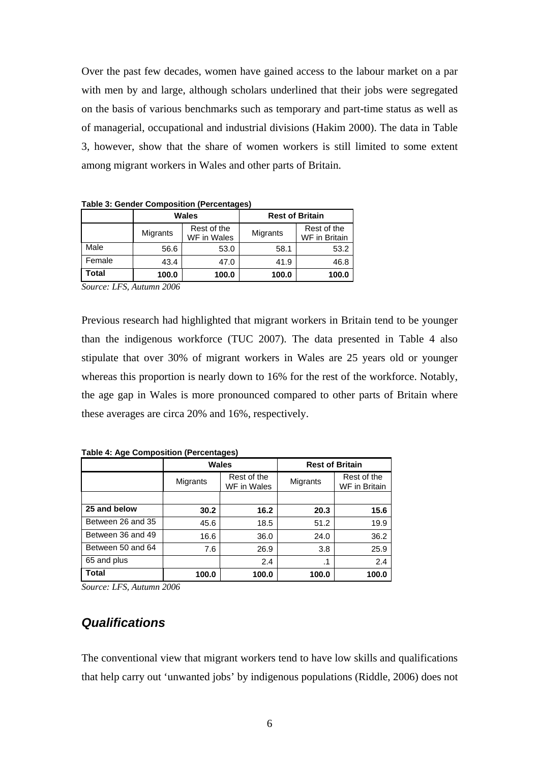Over the past few decades, women have gained access to the labour market on a par with men by and large, although scholars underlined that their jobs were segregated on the basis of various benchmarks such as temporary and part-time status as well as of managerial, occupational and industrial divisions (Hakim 2000). The data in Table 3, however, show that the share of women workers is still limited to some extent among migrant workers in Wales and other parts of Britain.

|        |                                        | <b>Wales</b> | <b>Rest of Britain</b> |                                     |  |  |
|--------|----------------------------------------|--------------|------------------------|-------------------------------------|--|--|
|        | Rest of the<br>Migrants<br>WF in Wales |              | Migrants               | Rest of the<br><b>WF</b> in Britain |  |  |
| Male   | 56.6                                   | 53.0         | 58.1                   | 53.2                                |  |  |
| Female | 43.4                                   | 47.0         | 41.9                   | 46.8                                |  |  |
| Total  | 100.0                                  | 100.0        | 100.0                  | 100.0                               |  |  |

**Table 3: Gender Composition (Percentages)** 

*Source: LFS, Autumn 2006* 

Previous research had highlighted that migrant workers in Britain tend to be younger than the indigenous workforce (TUC 2007). The data presented in Table 4 also stipulate that over 30% of migrant workers in Wales are 25 years old or younger whereas this proportion is nearly down to 16% for the rest of the workforce. Notably, the age gap in Wales is more pronounced compared to other parts of Britain where these averages are circa 20% and 16%, respectively.

|                   |          | <b>Wales</b>               | <b>Rest of Britain</b> |                              |  |
|-------------------|----------|----------------------------|------------------------|------------------------------|--|
|                   | Migrants | Rest of the<br>WF in Wales | Migrants               | Rest of the<br>WF in Britain |  |
|                   |          |                            |                        |                              |  |
| 25 and below      | 30.2     | 16.2                       | 20.3                   | 15.6                         |  |
| Between 26 and 35 | 45.6     | 18.5                       | 51.2                   | 19.9                         |  |
| Between 36 and 49 | 16.6     | 36.0                       | 24.0                   | 36.2                         |  |
| Between 50 and 64 | 7.6      | 26.9                       | 3.8                    | 25.9                         |  |
| 65 and plus       |          | 2.4                        |                        | 2.4                          |  |
| <b>Total</b>      | 100.0    | 100.0                      | 100.0                  | 100.0                        |  |

**Table 4: Age Composition (Percentages)** 

*Source: LFS, Autumn 2006* 

## *Qualifications*

The conventional view that migrant workers tend to have low skills and qualifications that help carry out 'unwanted jobs' by indigenous populations (Riddle, 2006) does not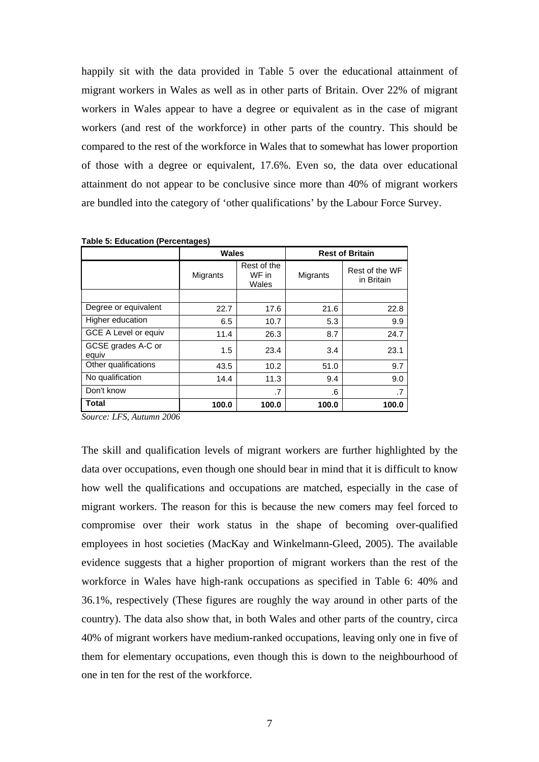happily sit with the data provided in Table 5 over the educational attainment of migrant workers in Wales as well as in other parts of Britain. Over 22% of migrant workers in Wales appear to have a degree or equivalent as in the case of migrant workers (and rest of the workforce) in other parts of the country. This should be compared to the rest of the workforce in Wales that to somewhat has lower proportion of those with a degree or equivalent, 17.6%. Even so, the data over educational attainment do not appear to be conclusive since more than 40% of migrant workers are bundled into the category of 'other qualifications' by the Labour Force Survey.

|                             | <b>Wales</b>                              |       | <b>Rest of Britain</b> |                              |  |
|-----------------------------|-------------------------------------------|-------|------------------------|------------------------------|--|
|                             | Rest of the<br>WF in<br>Migrants<br>Wales |       | Migrants               | Rest of the WF<br>in Britain |  |
|                             |                                           |       |                        |                              |  |
| Degree or equivalent        | 22.7                                      | 17.6  | 21.6                   | 22.8                         |  |
| Higher education            | 6.5                                       | 10.7  | 5.3                    | 9.9                          |  |
| <b>GCE A Level or equiv</b> | 11.4                                      | 26.3  | 8.7                    | 24.7                         |  |
| GCSE grades A-C or<br>equiv | 1.5                                       | 23.4  | 3.4                    | 23.1                         |  |
| Other qualifications        | 43.5                                      | 10.2  | 51.0                   | 9.7                          |  |
| No qualification            | 14.4                                      | 11.3  | 9.4                    | 9.0                          |  |
| Don't know                  |                                           | .7    | .6                     | .7                           |  |
| <b>Total</b>                | 100.0                                     | 100.0 | 100.0                  | 100.0                        |  |

**Table 5: Education (Percentages)** 

*Source: LFS, Autumn 2006* 

The skill and qualification levels of migrant workers are further highlighted by the data over occupations, even though one should bear in mind that it is difficult to know how well the qualifications and occupations are matched, especially in the case of migrant workers. The reason for this is because the new comers may feel forced to compromise over their work status in the shape of becoming over-qualified employees in host societies (MacKay and Winkelmann-Gleed, 2005). The available evidence suggests that a higher proportion of migrant workers than the rest of the workforce in Wales have high-rank occupations as specified in Table 6: 40% and 36.1%, respectively (These figures are roughly the way around in other parts of the country). The data also show that, in both Wales and other parts of the country, circa 40% of migrant workers have medium-ranked occupations, leaving only one in five of them for elementary occupations, even though this is down to the neighbourhood of one in ten for the rest of the workforce.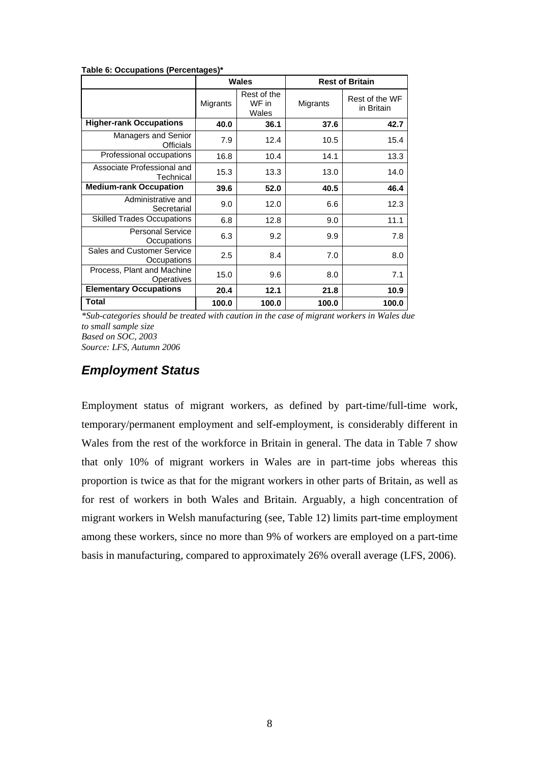|                                                 |              | <b>Wales</b>                  | <b>Rest of Britain</b> |                              |  |
|-------------------------------------------------|--------------|-------------------------------|------------------------|------------------------------|--|
|                                                 | Migrants     | Rest of the<br>WF in<br>Wales | Migrants               | Rest of the WF<br>in Britain |  |
| <b>Higher-rank Occupations</b>                  | 40.0         | 36.1                          | 37.6                   | 42.7                         |  |
| <b>Managers and Senior</b><br><b>Officials</b>  | 7.9          | 12.4                          | 10.5                   | 15.4                         |  |
| Professional occupations                        | 16.8         | 10.4                          | 14.1                   | 13.3                         |  |
| Associate Professional and<br>Technical         | 15.3         | 13.3                          | 13.0                   | 14.0                         |  |
| <b>Medium-rank Occupation</b>                   | 39.6         | 52.0                          | 40.5                   | 46.4                         |  |
| Administrative and<br>Secretarial               | 9.0          | 12.0                          | 6.6                    | 12.3                         |  |
| <b>Skilled Trades Occupations</b>               | 6.8          | 12.8                          | 9.0                    | 11.1                         |  |
| <b>Personal Service</b><br>Occupations          | 6.3          | 9.2                           | 9.9                    | 7.8                          |  |
| Sales and Customer Service<br>Occupations       | 2.5          | 8.4                           | 7.0                    | 8.0                          |  |
| Process, Plant and Machine<br><b>Operatives</b> | 15.0         | 9.6                           | 8.0                    | 7.1                          |  |
| <b>Elementary Occupations</b>                   | 20.4<br>12.1 |                               | 21.8                   | 10.9                         |  |
| Total                                           | 100.0        | 100.0                         | 100.0                  | 100.0                        |  |

**Table 6: Occupations (Percentages)\*** 

*\*Sub-categories should be treated with caution in the case of migrant workers in Wales due to small sample size Based on SOC, 2003* 

*Source: LFS, Autumn 2006* 

## *Employment Status*

Employment status of migrant workers, as defined by part-time/full-time work, temporary/permanent employment and self-employment, is considerably different in Wales from the rest of the workforce in Britain in general. The data in Table 7 show that only 10% of migrant workers in Wales are in part-time jobs whereas this proportion is twice as that for the migrant workers in other parts of Britain, as well as for rest of workers in both Wales and Britain. Arguably, a high concentration of migrant workers in Welsh manufacturing (see, Table 12) limits part-time employment among these workers, since no more than 9% of workers are employed on a part-time basis in manufacturing, compared to approximately 26% overall average (LFS, 2006).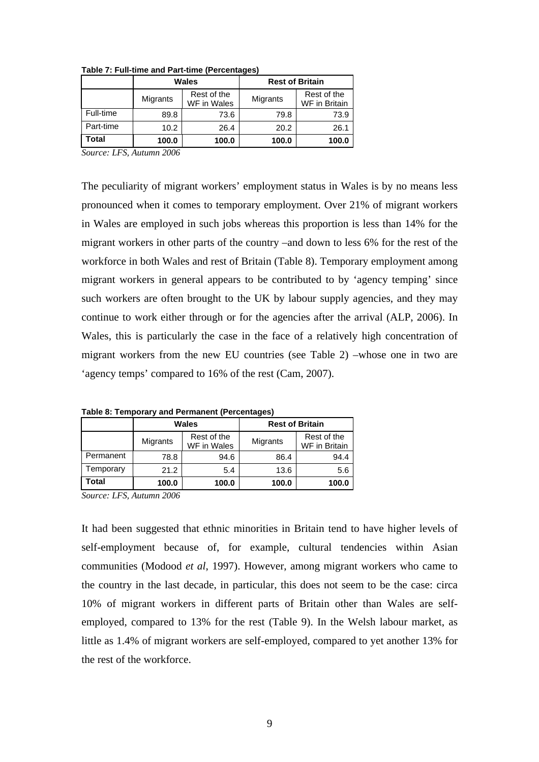|           | Wales    |                            | <b>Rest of Britain</b> |                              |
|-----------|----------|----------------------------|------------------------|------------------------------|
|           | Migrants | Rest of the<br>WF in Wales | Migrants               | Rest of the<br>WF in Britain |
| Full-time | 89.8     | 73.6                       | 79.8                   | 73.9                         |
| Part-time | 10.2     | 26.4                       | 20.2                   | 26.1                         |
| Total     | 100.0    | 100.0                      | 100.0                  | 100.0                        |

**Table 7: Full-time and Part-time (Percentages)** 

*Source: LFS, Autumn 2006* 

The peculiarity of migrant workers' employment status in Wales is by no means less pronounced when it comes to temporary employment. Over 21% of migrant workers in Wales are employed in such jobs whereas this proportion is less than 14% for the migrant workers in other parts of the country –and down to less 6% for the rest of the workforce in both Wales and rest of Britain (Table 8). Temporary employment among migrant workers in general appears to be contributed to by 'agency temping' since such workers are often brought to the UK by labour supply agencies, and they may continue to work either through or for the agencies after the arrival (ALP, 2006). In Wales, this is particularly the case in the face of a relatively high concentration of migrant workers from the new EU countries (see Table 2) –whose one in two are 'agency temps' compared to 16% of the rest (Cam, 2007).

|           | <b>Wales</b> |                            | <b>Rest of Britain</b> |                              |
|-----------|--------------|----------------------------|------------------------|------------------------------|
|           | Migrants     | Rest of the<br>WF in Wales | Migrants               | Rest of the<br>WF in Britain |
| Permanent | 78.8         | 94.6                       | 86.4                   | 94.4                         |
| Temporary | 21.2         | 5.4                        | 13.6                   | 5.6                          |
| Total     | 100.0        | 100.0                      | 100.0                  | 100.0                        |

**Table 8: Temporary and Permanent (Percentages)** 

*Source: LFS, Autumn 2006* 

It had been suggested that ethnic minorities in Britain tend to have higher levels of self-employment because of, for example, cultural tendencies within Asian communities (Modood *et al*, 1997). However, among migrant workers who came to the country in the last decade, in particular, this does not seem to be the case: circa 10% of migrant workers in different parts of Britain other than Wales are selfemployed, compared to 13% for the rest (Table 9). In the Welsh labour market, as little as 1.4% of migrant workers are self-employed, compared to yet another 13% for the rest of the workforce.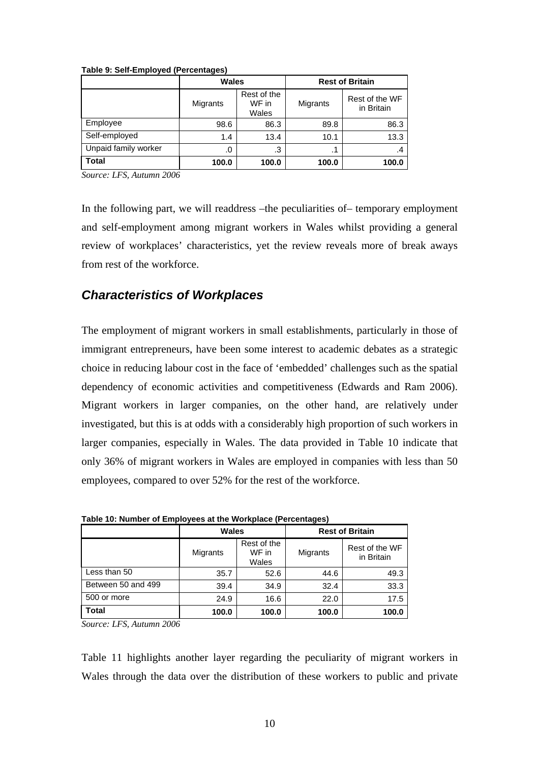|                      | <b>Wales</b>                              |      | <b>Rest of Britain</b> |                              |  |
|----------------------|-------------------------------------------|------|------------------------|------------------------------|--|
|                      | Rest of the<br>WF in<br>Migrants<br>Wales |      | Migrants               | Rest of the WF<br>in Britain |  |
| Employee             | 98.6                                      | 86.3 | 89.8                   | 86.3                         |  |
| Self-employed        | 1.4                                       | 13.4 | 10.1                   | 13.3                         |  |
| Unpaid family worker | .3<br>.0                                  |      | .1                     | .4                           |  |
| <b>Total</b>         | 100.0<br>100.0                            |      | 100.0                  | 100.0                        |  |

**Table 9: Self-Employed (Percentages)** 

*Source: LFS, Autumn 2006* 

In the following part, we will readdress –the peculiarities of– temporary employment and self-employment among migrant workers in Wales whilst providing a general review of workplaces' characteristics, yet the review reveals more of break aways from rest of the workforce.

## *Characteristics of Workplaces*

The employment of migrant workers in small establishments, particularly in those of immigrant entrepreneurs, have been some interest to academic debates as a strategic choice in reducing labour cost in the face of 'embedded' challenges such as the spatial dependency of economic activities and competitiveness (Edwards and Ram 2006). Migrant workers in larger companies, on the other hand, are relatively under investigated, but this is at odds with a considerably high proportion of such workers in larger companies, especially in Wales. The data provided in Table 10 indicate that only 36% of migrant workers in Wales are employed in companies with less than 50 employees, compared to over 52% for the rest of the workforce.

| rapic to. namber or Employees at the fromplace (Fercentages) |                                           |       |                        |                              |  |  |  |
|--------------------------------------------------------------|-------------------------------------------|-------|------------------------|------------------------------|--|--|--|
|                                                              | <b>Wales</b>                              |       | <b>Rest of Britain</b> |                              |  |  |  |
|                                                              | Rest of the<br>Migrants<br>WF in<br>Wales |       | Migrants               | Rest of the WF<br>in Britain |  |  |  |
| Less than 50                                                 | 35.7                                      | 52.6  | 44.6                   | 49.3                         |  |  |  |
| Between 50 and 499                                           | 39.4                                      | 34.9  | 32.4                   | 33.3                         |  |  |  |
| 500 or more                                                  | 24.9<br>16.6                              |       | 22.0                   | 17.5                         |  |  |  |
| <b>Total</b>                                                 | 100.0                                     | 100.0 | 100.0                  | 100.0                        |  |  |  |

**Table 10: Number of Employees at the Workplace (Percentages)** 

*Source: LFS, Autumn 2006* 

Table 11 highlights another layer regarding the peculiarity of migrant workers in Wales through the data over the distribution of these workers to public and private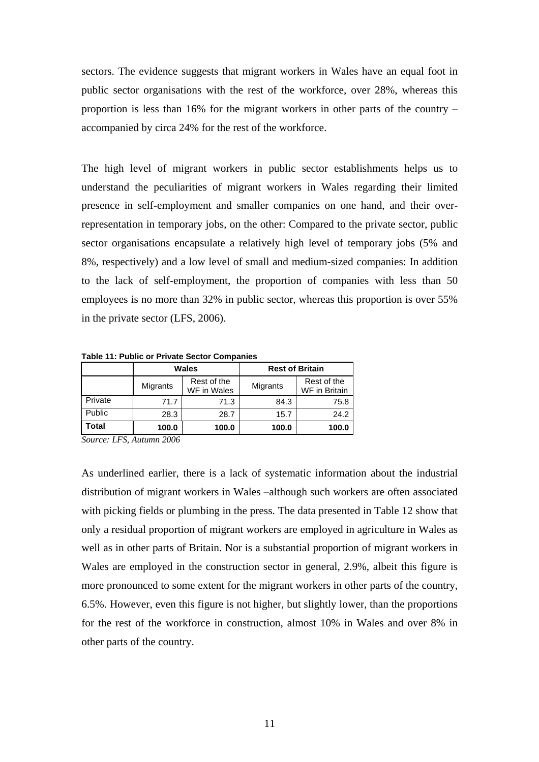sectors. The evidence suggests that migrant workers in Wales have an equal foot in public sector organisations with the rest of the workforce, over 28%, whereas this proportion is less than 16% for the migrant workers in other parts of the country – accompanied by circa 24% for the rest of the workforce.

The high level of migrant workers in public sector establishments helps us to understand the peculiarities of migrant workers in Wales regarding their limited presence in self-employment and smaller companies on one hand, and their overrepresentation in temporary jobs, on the other: Compared to the private sector, public sector organisations encapsulate a relatively high level of temporary jobs (5% and 8%, respectively) and a low level of small and medium-sized companies: In addition to the lack of self-employment, the proportion of companies with less than 50 employees is no more than 32% in public sector, whereas this proportion is over 55% in the private sector (LFS, 2006).

**Table 11: Public or Private Sector Companies** 

|         | <b>Wales</b> |                            | <b>Rest of Britain</b> |                              |
|---------|--------------|----------------------------|------------------------|------------------------------|
|         | Migrants     | Rest of the<br>WF in Wales | Migrants               | Rest of the<br>WF in Britain |
| Private | 71.7         | 71.3                       | 84.3                   | 75.8                         |
| Public  | 28.3         | 28.7                       | 15.7                   | 24.2                         |
| Total   | 100.0        | 100.0                      | 100.0                  | 100.0                        |

*Source: LFS, Autumn 2006* 

As underlined earlier, there is a lack of systematic information about the industrial distribution of migrant workers in Wales –although such workers are often associated with picking fields or plumbing in the press. The data presented in Table 12 show that only a residual proportion of migrant workers are employed in agriculture in Wales as well as in other parts of Britain. Nor is a substantial proportion of migrant workers in Wales are employed in the construction sector in general, 2.9%, albeit this figure is more pronounced to some extent for the migrant workers in other parts of the country, 6.5%. However, even this figure is not higher, but slightly lower, than the proportions for the rest of the workforce in construction, almost 10% in Wales and over 8% in other parts of the country.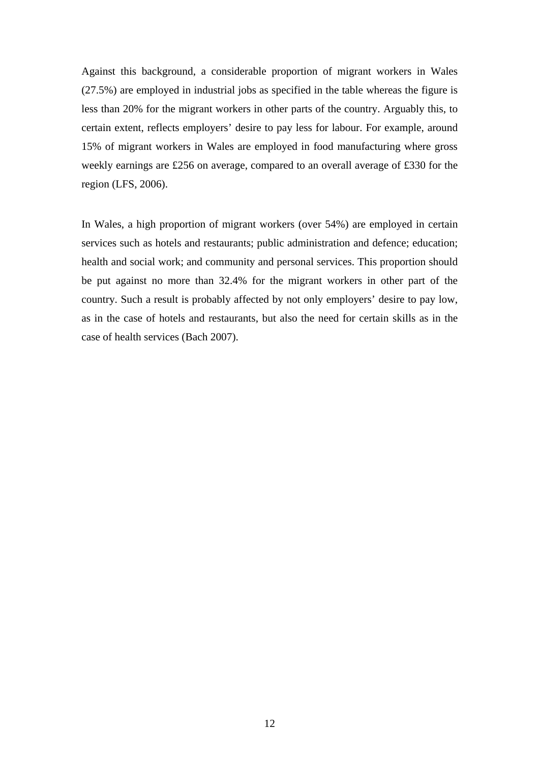Against this background, a considerable proportion of migrant workers in Wales (27.5%) are employed in industrial jobs as specified in the table whereas the figure is less than 20% for the migrant workers in other parts of the country. Arguably this, to certain extent, reflects employers' desire to pay less for labour. For example, around 15% of migrant workers in Wales are employed in food manufacturing where gross weekly earnings are £256 on average, compared to an overall average of £330 for the region (LFS, 2006).

In Wales, a high proportion of migrant workers (over 54%) are employed in certain services such as hotels and restaurants; public administration and defence; education; health and social work; and community and personal services. This proportion should be put against no more than 32.4% for the migrant workers in other part of the country. Such a result is probably affected by not only employers' desire to pay low, as in the case of hotels and restaurants, but also the need for certain skills as in the case of health services (Bach 2007).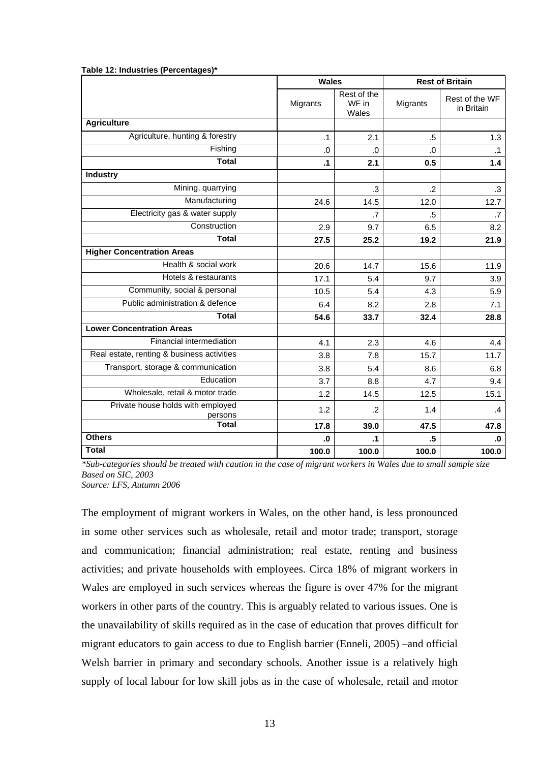|                                              | <b>Wales</b> |                               | <b>Rest of Britain</b> |                              |
|----------------------------------------------|--------------|-------------------------------|------------------------|------------------------------|
|                                              | Migrants     | Rest of the<br>WF in<br>Wales | Migrants               | Rest of the WF<br>in Britain |
| <b>Agriculture</b>                           |              |                               |                        |                              |
| Agriculture, hunting & forestry              | .1           | 2.1                           | $.5\,$                 | 1.3                          |
| Fishing                                      | .0           | $\Omega$                      | 0.                     | $\cdot$ 1                    |
| <b>Total</b>                                 | $\cdot$ 1    | 2.1                           | 0.5                    | 1.4                          |
| <b>Industry</b>                              |              |                               |                        |                              |
| Mining, quarrying                            |              | .3                            | $\cdot$ .2             | $\cdot$ 3                    |
| Manufacturing                                | 24.6         | 14.5                          | 12.0                   | 12.7                         |
| Electricity gas & water supply               |              | .7                            | $.5\,$                 | $\cdot$ 7                    |
| Construction                                 | 2.9          | 9.7                           | 6.5                    | 8.2                          |
| <b>Total</b>                                 | 27.5         | 25.2                          | 19.2                   | 21.9                         |
| <b>Higher Concentration Areas</b>            |              |                               |                        |                              |
| Health & social work                         | 20.6         | 14.7                          | 15.6                   | 11.9                         |
| Hotels & restaurants                         | 17.1         | 5.4                           | 9.7                    | 3.9                          |
| Community, social & personal                 | 10.5         | 5.4                           | 4.3                    | 5.9                          |
| Public administration & defence              | 6.4          | 8.2                           | 2.8                    | 7.1                          |
| <b>Total</b>                                 | 54.6         | 33.7                          | 32.4                   | 28.8                         |
| <b>Lower Concentration Areas</b>             |              |                               |                        |                              |
| Financial intermediation                     | 4.1          | 2.3                           | 4.6                    | 4.4                          |
| Real estate, renting & business activities   | 3.8          | 7.8                           | 15.7                   | 11.7                         |
| Transport, storage & communication           | 3.8          | 5.4                           | 8.6                    | 6.8                          |
| Education                                    | 3.7          | 8.8                           | 4.7                    | 9.4                          |
| Wholesale, retail & motor trade              | 1.2          | 14.5                          | 12.5                   | 15.1                         |
| Private house holds with employed<br>persons | 1.2          | $\cdot$                       | 1.4                    | $\mathcal{A}$                |
| <b>Total</b>                                 | 17.8         | 39.0                          | 47.5                   | 47.8                         |
| <b>Others</b>                                | .0           | $\cdot$ 1                     | .5                     | .0                           |
| <b>Total</b>                                 | 100.0        | 100.0                         | 100.0                  | 100.0                        |

**Table 12: Industries (Percentages)\*** 

*\*Sub-categories should be treated with caution in the case of migrant workers in Wales due to small sample size Based on SIC, 2003 Source: LFS, Autumn 2006* 

The employment of migrant workers in Wales, on the other hand, is less pronounced

in some other services such as wholesale, retail and motor trade; transport, storage and communication; financial administration; real estate, renting and business activities; and private households with employees. Circa 18% of migrant workers in Wales are employed in such services whereas the figure is over 47% for the migrant workers in other parts of the country. This is arguably related to various issues. One is the unavailability of skills required as in the case of education that proves difficult for migrant educators to gain access to due to English barrier (Enneli, 2005) –and official Welsh barrier in primary and secondary schools. Another issue is a relatively high supply of local labour for low skill jobs as in the case of wholesale, retail and motor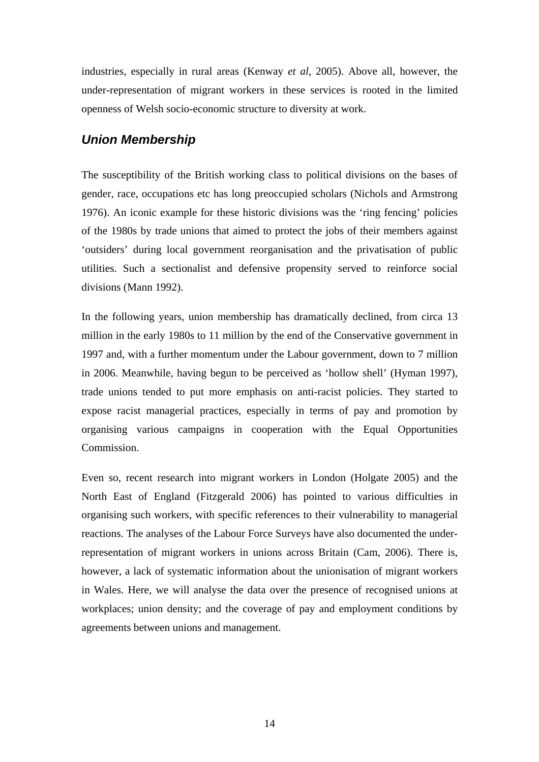industries, especially in rural areas (Kenway *et al*, 2005). Above all, however, the under-representation of migrant workers in these services is rooted in the limited openness of Welsh socio-economic structure to diversity at work.

## *Union Membership*

The susceptibility of the British working class to political divisions on the bases of gender, race, occupations etc has long preoccupied scholars (Nichols and Armstrong 1976). An iconic example for these historic divisions was the 'ring fencing' policies of the 1980s by trade unions that aimed to protect the jobs of their members against 'outsiders' during local government reorganisation and the privatisation of public utilities. Such a sectionalist and defensive propensity served to reinforce social divisions (Mann 1992).

In the following years, union membership has dramatically declined, from circa 13 million in the early 1980s to 11 million by the end of the Conservative government in 1997 and, with a further momentum under the Labour government, down to 7 million in 2006. Meanwhile, having begun to be perceived as 'hollow shell' (Hyman 1997), trade unions tended to put more emphasis on anti-racist policies. They started to expose racist managerial practices, especially in terms of pay and promotion by organising various campaigns in cooperation with the Equal Opportunities Commission.

Even so, recent research into migrant workers in London (Holgate 2005) and the North East of England (Fitzgerald 2006) has pointed to various difficulties in organising such workers, with specific references to their vulnerability to managerial reactions. The analyses of the Labour Force Surveys have also documented the underrepresentation of migrant workers in unions across Britain (Cam, 2006). There is, however, a lack of systematic information about the unionisation of migrant workers in Wales. Here, we will analyse the data over the presence of recognised unions at workplaces; union density; and the coverage of pay and employment conditions by agreements between unions and management.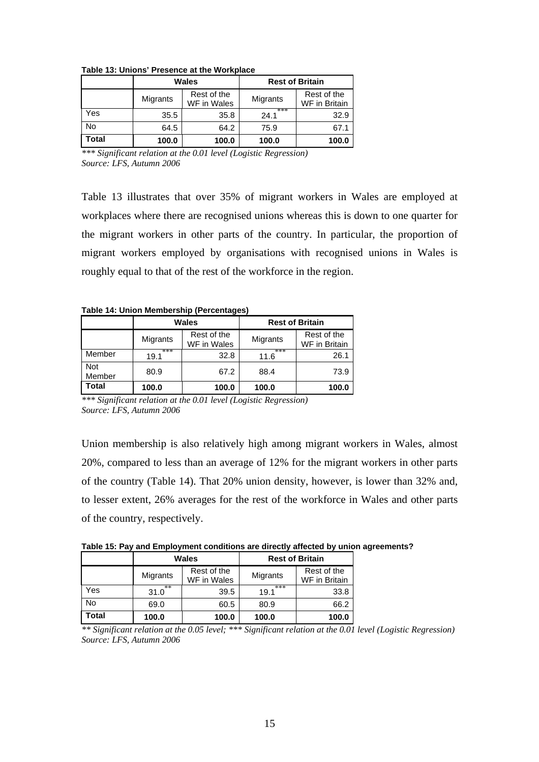|       | <b>Wales</b> |                            | <b>Rest of Britain</b> |                              |
|-------|--------------|----------------------------|------------------------|------------------------------|
|       | Migrants     | Rest of the<br>WF in Wales | Migrants               | Rest of the<br>WF in Britain |
| Yes   | 35.5         | 35.8                       | ***<br>24.1            | 32.9                         |
| No    | 64.5         | 64.2                       | 75.9                   | 67.1                         |
| Total | 100.0        | 100.0                      | 100.0                  | 100.0                        |

**Table 13: Unions' Presence at the Workplace** 

*\*\*\* Significant relation at the 0.01 level (Logistic Regression) Source: LFS, Autumn 2006* 

Table 13 illustrates that over 35% of migrant workers in Wales are employed at workplaces where there are recognised unions whereas this is down to one quarter for the migrant workers in other parts of the country. In particular, the proportion of migrant workers employed by organisations with recognised unions in Wales is roughly equal to that of the rest of the workforce in the region.

**Table 14: Union Membership (Percentages)** 

|                      | <b>Wales</b> |                            | <b>Rest of Britain</b> |                              |
|----------------------|--------------|----------------------------|------------------------|------------------------------|
|                      | Migrants     | Rest of the<br>WF in Wales | Migrants               | Rest of the<br>WF in Britain |
| Member               | ***<br>19.1  | 32.8                       | ***<br>11.6            | 26.1                         |
| <b>Not</b><br>Member | 80.9         | 67.2                       | 88.4                   | 73.9                         |
| Total                | 100.0        | 100.0                      | 100.0                  | 100.0                        |

*\*\*\* Significant relation at the 0.01 level (Logistic Regression) Source: LFS, Autumn 2006* 

Union membership is also relatively high among migrant workers in Wales, almost 20%, compared to less than an average of 12% for the migrant workers in other parts of the country (Table 14). That 20% union density, however, is lower than 32% and, to lesser extent, 26% averages for the rest of the workforce in Wales and other parts of the country, respectively.

**Table 15: Pay and Employment conditions are directly affected by union agreements?** 

|       | <b>Wales</b> |                            | <b>Rest of Britain</b> |                              |
|-------|--------------|----------------------------|------------------------|------------------------------|
|       | Migrants     | Rest of the<br>WF in Wales | Migrants               | Rest of the<br>WF in Britain |
| Yes   | **<br>31.0   | 39.5                       | ***<br>19.1            | 33.8                         |
| No    | 69.0         | 60.5                       | 80.9                   | 66.2                         |
| Total | 100.0        | 100.0                      | 100.0                  | 100.0                        |

*\*\* Significant relation at the 0.05 level; \*\*\* Significant relation at the 0.01 level (Logistic Regression) Source: LFS, Autumn 2006*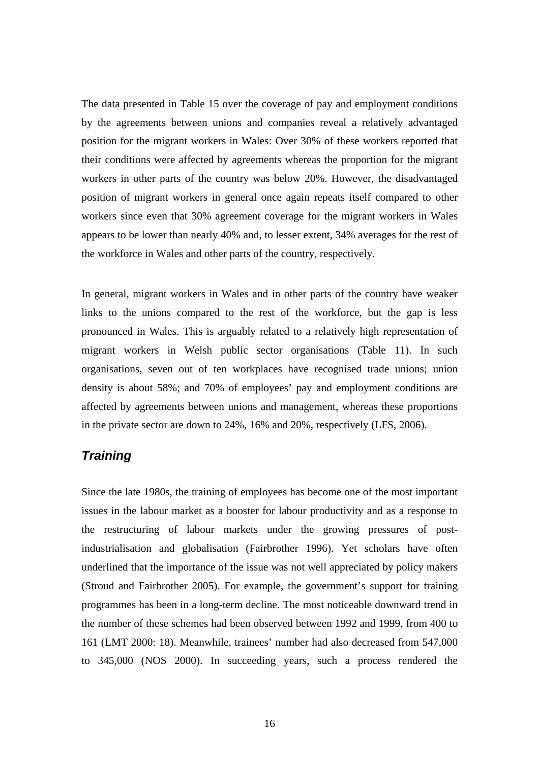The data presented in Table 15 over the coverage of pay and employment conditions by the agreements between unions and companies reveal a relatively advantaged position for the migrant workers in Wales: Over 30% of these workers reported that their conditions were affected by agreements whereas the proportion for the migrant workers in other parts of the country was below 20%. However, the disadvantaged position of migrant workers in general once again repeats itself compared to other workers since even that 30% agreement coverage for the migrant workers in Wales appears to be lower than nearly 40% and, to lesser extent, 34% averages for the rest of the workforce in Wales and other parts of the country, respectively.

In general, migrant workers in Wales and in other parts of the country have weaker links to the unions compared to the rest of the workforce, but the gap is less pronounced in Wales. This is arguably related to a relatively high representation of migrant workers in Welsh public sector organisations (Table 11). In such organisations, seven out of ten workplaces have recognised trade unions; union density is about 58%; and 70% of employees' pay and employment conditions are affected by agreements between unions and management, whereas these proportions in the private sector are down to 24%, 16% and 20%, respectively (LFS, 2006).

## *Training*

Since the late 1980s, the training of employees has become one of the most important issues in the labour market as a booster for labour productivity and as a response to the restructuring of labour markets under the growing pressures of postindustrialisation and globalisation (Fairbrother 1996). Yet scholars have often underlined that the importance of the issue was not well appreciated by policy makers (Stroud and Fairbrother 2005). For example, the government's support for training programmes has been in a long-term decline. The most noticeable downward trend in the number of these schemes had been observed between 1992 and 1999, from 400 to 161 (LMT 2000: 18). Meanwhile, trainees' number had also decreased from 547,000 to 345,000 (NOS 2000). In succeeding years, such a process rendered the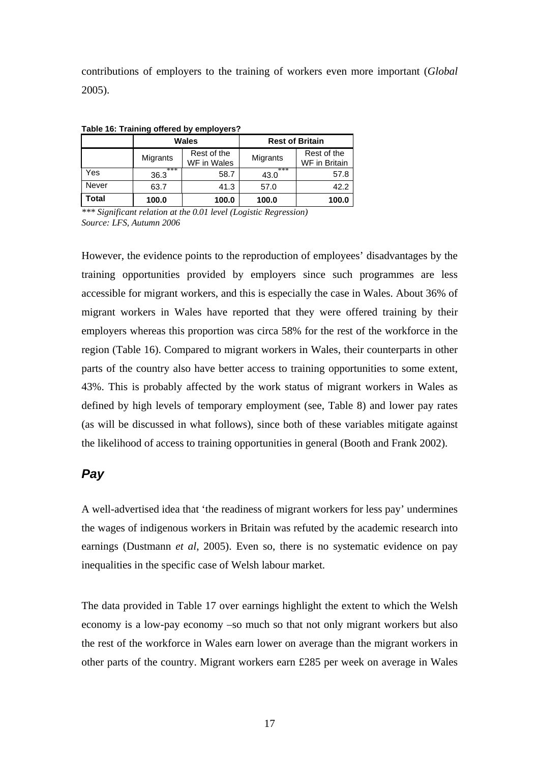contributions of employers to the training of workers even more important (*Global* 2005).

|       | <b>Wales</b> |                            | <b>Rest of Britain</b> |                              |
|-------|--------------|----------------------------|------------------------|------------------------------|
|       | Migrants     | Rest of the<br>WF in Wales | Migrants               | Rest of the<br>WF in Britain |
| Yes   | ***<br>36.3  | 58.7                       | ***<br>43.0            | 57.8                         |
| Never | 63.7         | 41.3                       | 57.0                   | 42.2                         |
| Total | 100.0        | 100.0                      | 100.0                  | 100.0                        |

**Table 16: Training offered by employers?** 

*\*\*\* Significant relation at the 0.01 level (Logistic Regression) Source: LFS, Autumn 2006* 

However, the evidence points to the reproduction of employees' disadvantages by the training opportunities provided by employers since such programmes are less accessible for migrant workers, and this is especially the case in Wales. About 36% of migrant workers in Wales have reported that they were offered training by their employers whereas this proportion was circa 58% for the rest of the workforce in the region (Table 16). Compared to migrant workers in Wales, their counterparts in other parts of the country also have better access to training opportunities to some extent, 43%. This is probably affected by the work status of migrant workers in Wales as defined by high levels of temporary employment (see, Table 8) and lower pay rates (as will be discussed in what follows), since both of these variables mitigate against the likelihood of access to training opportunities in general (Booth and Frank 2002).

## *Pay*

A well-advertised idea that 'the readiness of migrant workers for less pay' undermines the wages of indigenous workers in Britain was refuted by the academic research into earnings (Dustmann *et al*, 2005). Even so, there is no systematic evidence on pay inequalities in the specific case of Welsh labour market.

The data provided in Table 17 over earnings highlight the extent to which the Welsh economy is a low-pay economy –so much so that not only migrant workers but also the rest of the workforce in Wales earn lower on average than the migrant workers in other parts of the country. Migrant workers earn £285 per week on average in Wales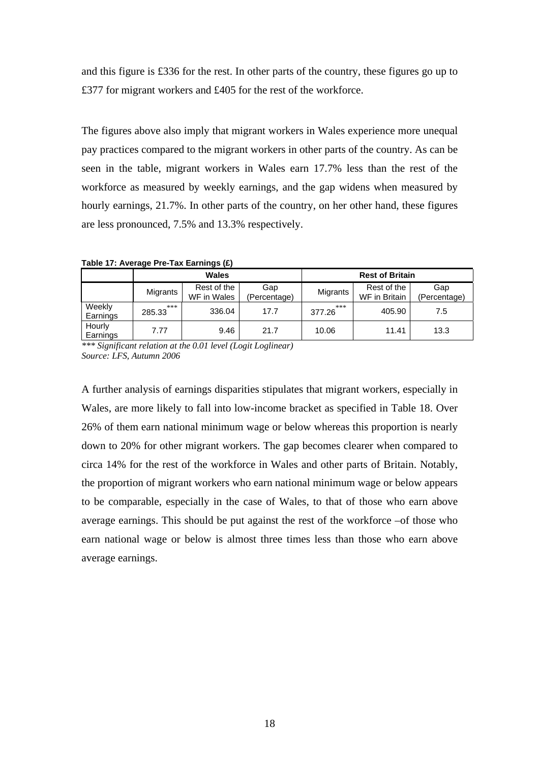and this figure is £336 for the rest. In other parts of the country, these figures go up to £377 for migrant workers and £405 for the rest of the workforce.

The figures above also imply that migrant workers in Wales experience more unequal pay practices compared to the migrant workers in other parts of the country. As can be seen in the table, migrant workers in Wales earn 17.7% less than the rest of the workforce as measured by weekly earnings, and the gap widens when measured by hourly earnings, 21.7%. In other parts of the country, on her other hand, these figures are less pronounced, 7.5% and 13.3% respectively.

**Table 17: Average Pre-Tax Earnings (£)** 

|                    | <b>Wales</b>  |                            |                     | <b>Rest of Britain</b> |                              |                     |
|--------------------|---------------|----------------------------|---------------------|------------------------|------------------------------|---------------------|
|                    | Migrants      | Rest of the<br>WF in Wales | Gap<br>(Percentage) | Migrants               | Rest of the<br>WF in Britain | Gap<br>(Percentage) |
| Weekly<br>Earnings | ***<br>285.33 | 336.04                     | 17.7                | ***<br>377.26          | 405.90                       | 7.5                 |
| Hourly<br>Earnings | 7.77          | 9.46                       | 21.7                | 10.06                  | 11.41                        | 13.3                |

*\*\*\* Significant relation at the 0.01 level (Logit Loglinear) Source: LFS, Autumn 2006* 

A further analysis of earnings disparities stipulates that migrant workers, especially in Wales, are more likely to fall into low-income bracket as specified in Table 18. Over 26% of them earn national minimum wage or below whereas this proportion is nearly down to 20% for other migrant workers. The gap becomes clearer when compared to circa 14% for the rest of the workforce in Wales and other parts of Britain. Notably, the proportion of migrant workers who earn national minimum wage or below appears to be comparable, especially in the case of Wales, to that of those who earn above average earnings. This should be put against the rest of the workforce –of those who earn national wage or below is almost three times less than those who earn above average earnings.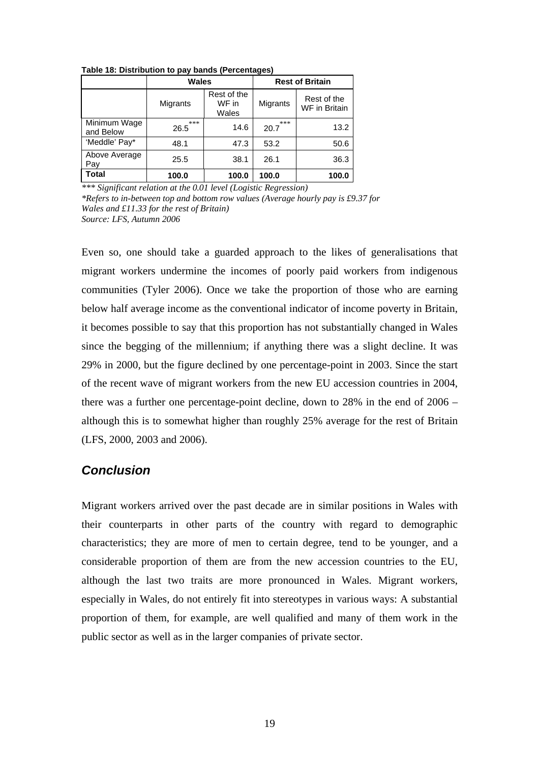| -9--7                     |              |                               |                        |                              |  |  |
|---------------------------|--------------|-------------------------------|------------------------|------------------------------|--|--|
|                           | <b>Wales</b> |                               | <b>Rest of Britain</b> |                              |  |  |
|                           | Migrants     | Rest of the<br>WF in<br>Wales | Migrants               | Rest of the<br>WF in Britain |  |  |
| Minimum Wage<br>and Below | ***<br>26.5  | 14.6                          | ***<br>20.7            | 13.2                         |  |  |
| 'Meddle' Pay*             | 48.1         | 47.3                          | 53.2                   | 50.6                         |  |  |
| Above Average<br>Pav      | 25.5         | 38.1                          | 26.1                   | 36.3                         |  |  |
| Total                     | 100.0        | 100.0                         | 100.0                  | 100.0                        |  |  |

**Table 18: Distribution to pay bands (Percentages)** 

*\*\*\* Significant relation at the 0.01 level (Logistic Regression) \*Refers to in-between top and bottom row values (Average hourly pay is £9.37 for Wales and £11.33 for the rest of Britain) Source: LFS, Autumn 2006* 

Even so, one should take a guarded approach to the likes of generalisations that migrant workers undermine the incomes of poorly paid workers from indigenous communities (Tyler 2006). Once we take the proportion of those who are earning below half average income as the conventional indicator of income poverty in Britain, it becomes possible to say that this proportion has not substantially changed in Wales since the begging of the millennium; if anything there was a slight decline. It was 29% in 2000, but the figure declined by one percentage-point in 2003. Since the start of the recent wave of migrant workers from the new EU accession countries in 2004, there was a further one percentage-point decline, down to 28% in the end of 2006 – although this is to somewhat higher than roughly 25% average for the rest of Britain (LFS, 2000, 2003 and 2006).

## *Conclusion*

Migrant workers arrived over the past decade are in similar positions in Wales with their counterparts in other parts of the country with regard to demographic characteristics; they are more of men to certain degree, tend to be younger, and a considerable proportion of them are from the new accession countries to the EU, although the last two traits are more pronounced in Wales. Migrant workers, especially in Wales, do not entirely fit into stereotypes in various ways: A substantial proportion of them, for example, are well qualified and many of them work in the public sector as well as in the larger companies of private sector.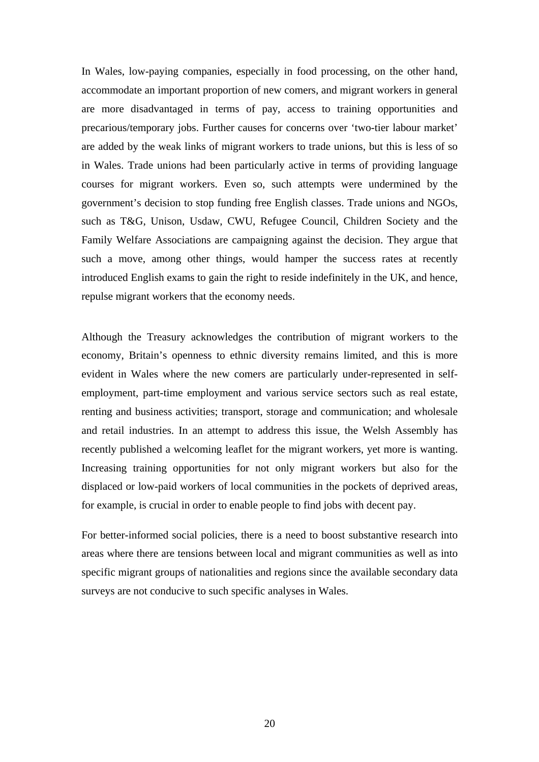In Wales, low-paying companies, especially in food processing, on the other hand, accommodate an important proportion of new comers, and migrant workers in general are more disadvantaged in terms of pay, access to training opportunities and precarious/temporary jobs. Further causes for concerns over 'two-tier labour market' are added by the weak links of migrant workers to trade unions, but this is less of so in Wales. Trade unions had been particularly active in terms of providing language courses for migrant workers. Even so, such attempts were undermined by the government's decision to stop funding free English classes. Trade unions and NGOs, such as T&G, Unison, Usdaw, CWU, Refugee Council, Children Society and the Family Welfare Associations are campaigning against the decision. They argue that such a move, among other things, would hamper the success rates at recently introduced English exams to gain the right to reside indefinitely in the UK, and hence, repulse migrant workers that the economy needs.

Although the Treasury acknowledges the contribution of migrant workers to the economy, Britain's openness to ethnic diversity remains limited, and this is more evident in Wales where the new comers are particularly under-represented in selfemployment, part-time employment and various service sectors such as real estate, renting and business activities; transport, storage and communication; and wholesale and retail industries. In an attempt to address this issue, the Welsh Assembly has recently published a welcoming leaflet for the migrant workers, yet more is wanting. Increasing training opportunities for not only migrant workers but also for the displaced or low-paid workers of local communities in the pockets of deprived areas, for example, is crucial in order to enable people to find jobs with decent pay.

For better-informed social policies, there is a need to boost substantive research into areas where there are tensions between local and migrant communities as well as into specific migrant groups of nationalities and regions since the available secondary data surveys are not conducive to such specific analyses in Wales.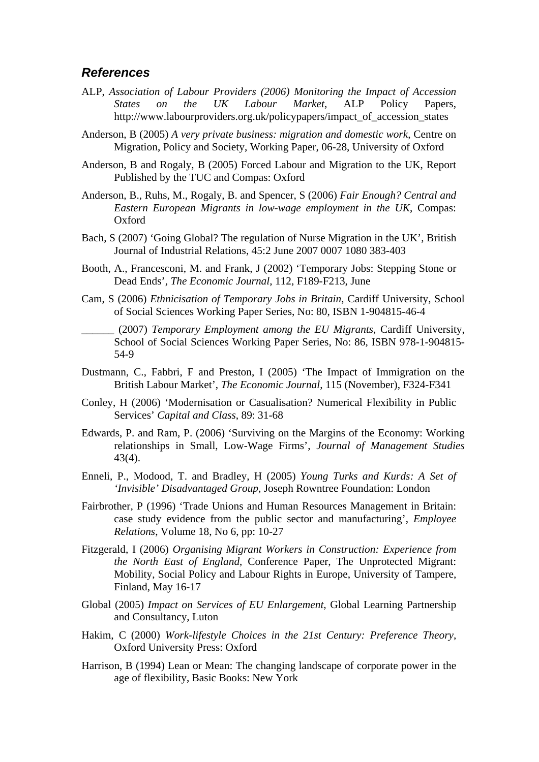### *References*

- ALP, *Association of Labour Providers (2006) Monitoring the Impact of Accession States on the UK Labour Market*, ALP Policy Papers, http://www.labourproviders.org.uk/policypapers/impact\_of\_accession\_states
- Anderson, B (2005) *A very private business: migration and domestic work*, Centre on Migration, Policy and Society, Working Paper, 06-28, University of Oxford
- Anderson, B and Rogaly, B (2005) Forced Labour and Migration to the UK, Report Published by the TUC and Compas: Oxford
- Anderson, B., Ruhs, M., Rogaly, B. and Spencer, S (2006) *Fair Enough? Central and Eastern European Migrants in low-wage employment in the UK*, Compas: Oxford
- Bach, S (2007) 'Going Global? The regulation of Nurse Migration in the UK', British Journal of Industrial Relations, 45:2 June 2007 0007 1080 383-403
- Booth, A., Francesconi, M. and Frank, J (2002) 'Temporary Jobs: Stepping Stone or Dead Ends', *The Economic Journal*, 112, F189-F213, June
- Cam, S (2006) *Ethnicisation of Temporary Jobs in Britain*, Cardiff University, School of Social Sciences Working Paper Series, No: 80, ISBN 1-904815-46-4

\_\_\_\_\_\_ (2007) *Temporary Employment among the EU Migrants*, Cardiff University, School of Social Sciences Working Paper Series, No: 86, ISBN 978-1-904815- 54-9

- Dustmann, C., Fabbri, F and Preston, I (2005) 'The Impact of Immigration on the British Labour Market', *The Economic Journal*, 115 (November), F324-F341
- Conley, H (2006) 'Modernisation or Casualisation? Numerical Flexibility in Public Services' *Capital and Class*, 89: 31-68
- Edwards, P. and Ram, P. (2006) 'Surviving on the Margins of the Economy: Working relationships in Small, Low-Wage Firms', *Journal of Management Studies*  43(4).
- Enneli, P., Modood, T. and Bradley, H (2005) *Young Turks and Kurds: A Set of 'Invisible' Disadvantaged Group*, Joseph Rowntree Foundation: London
- Fairbrother, P (1996) 'Trade Unions and Human Resources Management in Britain: case study evidence from the public sector and manufacturing', *Employee Relations*, Volume 18, No 6, pp: 10-27
- Fitzgerald, I (2006) *Organising Migrant Workers in Construction: Experience from the North East of England*, Conference Paper, The Unprotected Migrant: Mobility, Social Policy and Labour Rights in Europe, University of Tampere, Finland, May 16-17
- Global (2005) *Impact on Services of EU Enlargement*, Global Learning Partnership and Consultancy, Luton
- Hakim, C (2000) *Work-lifestyle Choices in the 21st Century: Preference Theory*, Oxford University Press: Oxford
- Harrison, B (1994) Lean or Mean: The changing landscape of corporate power in the age of flexibility, Basic Books: New York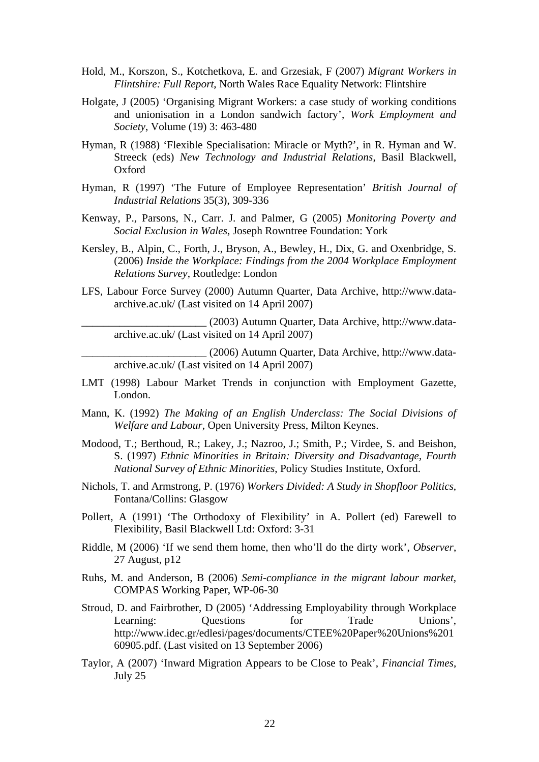- Hold, M., Korszon, S., Kotchetkova, E. and Grzesiak, F (2007) *Migrant Workers in Flintshire: Full Report*, North Wales Race Equality Network: Flintshire
- Holgate, J (2005) 'Organising Migrant Workers: a case study of working conditions and unionisation in a London sandwich factory', *Work Employment and Society*, Volume (19) 3: 463-480
- Hyman, R (1988) 'Flexible Specialisation: Miracle or Myth?', in R. Hyman and W. Streeck (eds) *New Technology and Industrial Relations*, Basil Blackwell, Oxford
- Hyman, R (1997) 'The Future of Employee Representation' *British Journal of Industrial Relations* 35(3), 309-336
- Kenway, P., Parsons, N., Carr. J. and Palmer, G (2005) *Monitoring Poverty and Social Exclusion in Wales*, Joseph Rowntree Foundation: York
- Kersley, B., Alpin, C., Forth, J., Bryson, A., Bewley, H., Dix, G. and Oxenbridge, S. (2006) *Inside the Workplace: Findings from the 2004 Workplace Employment Relations Survey*, Routledge: London
- LFS, Labour Force Survey (2000) Autumn Quarter, Data Archive, http://www.dataarchive.ac.uk/ (Last visited on 14 April 2007)

\_\_\_\_\_\_\_\_\_\_\_\_\_\_\_\_\_\_\_\_\_\_\_ (2003) Autumn Quarter, Data Archive, http://www.dataarchive.ac.uk/ (Last visited on 14 April 2007)

\_\_\_\_\_\_\_\_\_\_\_\_\_\_\_\_\_\_\_\_\_\_\_ (2006) Autumn Quarter, Data Archive, http://www.dataarchive.ac.uk/ (Last visited on 14 April 2007)

- LMT (1998) Labour Market Trends in conjunction with Employment Gazette, London.
- Mann, K. (1992) *The Making of an English Underclass: The Social Divisions of Welfare and Labour*, Open University Press, Milton Keynes.
- Modood, T.; Berthoud, R.; Lakey, J.; Nazroo, J.; Smith, P.; Virdee, S. and Beishon, S. (1997) *Ethnic Minorities in Britain: Diversity and Disadvantage*, *Fourth National Survey of Ethnic Minorities*, Policy Studies Institute, Oxford.
- Nichols, T. and Armstrong, P. (1976) *Workers Divided: A Study in Shopfloor Politics*, Fontana/Collins: Glasgow
- Pollert, A (1991) 'The Orthodoxy of Flexibility' in A. Pollert (ed) Farewell to Flexibility, Basil Blackwell Ltd: Oxford: 3-31
- Riddle, M (2006) 'If we send them home, then who'll do the dirty work', *Observer*, 27 August, p12
- Ruhs, M. and Anderson, B (2006) *Semi-compliance in the migrant labour market,*  COMPAS Working Paper, WP-06-30
- Stroud, D. and Fairbrother, D (2005) 'Addressing Employability through Workplace Learning: Ouestions for Trade Unions', http://www.idec.gr/edlesi/pages/documents/CTEE%20Paper%20Unions%201 60905.pdf. (Last visited on 13 September 2006)
- Taylor, A (2007) 'Inward Migration Appears to be Close to Peak', *Financial Times*, July 25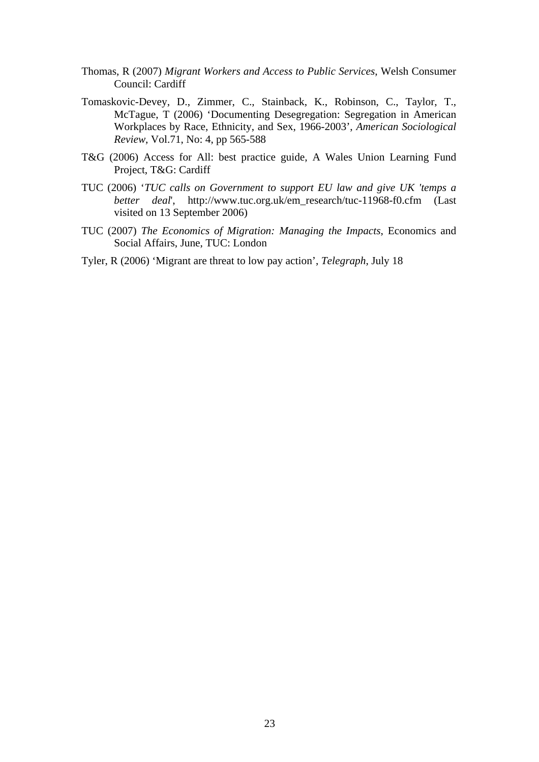- Thomas, R (2007) *Migrant Workers and Access to Public Services*, Welsh Consumer Council: Cardiff
- Tomaskovic-Devey, D., Zimmer, C., Stainback, K., Robinson, C., Taylor, T., McTague, T (2006) 'Documenting Desegregation: Segregation in American Workplaces by Race, Ethnicity, and Sex, 1966-2003', *American Sociological Review*, Vol.71, No: 4, pp 565-588
- T&G (2006) Access for All: best practice guide, A Wales Union Learning Fund Project, T&G: Cardiff
- TUC (2006) '*TUC calls on Government to support EU law and give UK 'temps a better deal*', http://www.tuc.org.uk/em\_research/tuc-11968-f0.cfm (Last visited on 13 September 2006)
- TUC (2007) *The Economics of Migration: Managing the Impacts*, Economics and Social Affairs, June, TUC: London
- Tyler, R (2006) 'Migrant are threat to low pay action', *Telegraph*, July 18